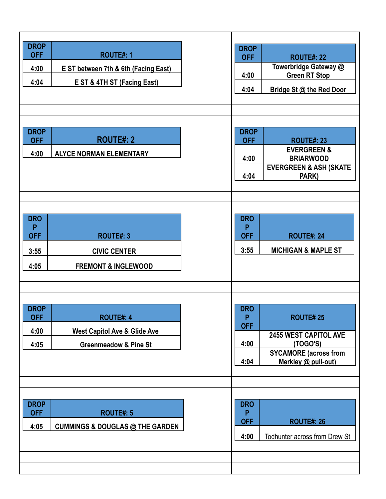| <b>DROP</b><br><b>OFF</b><br>4:00<br>4:04     | <b>ROUTE#: 1</b><br>E ST between 7th & 6th (Facing East)<br>E ST & 4TH ST (Facing East)         | <b>DROP</b><br><b>OFF</b><br>4:00<br>4:04     | <b>ROUTE#: 22</b><br>Towerbridge Gateway @<br><b>Green RT Stop</b><br>Bridge St @ the Red Door                     |
|-----------------------------------------------|-------------------------------------------------------------------------------------------------|-----------------------------------------------|--------------------------------------------------------------------------------------------------------------------|
| <b>DROP</b><br><b>OFF</b><br>4:00             | <b>ROUTE#: 2</b><br><b>ALYCE NORMAN ELEMENTARY</b>                                              | <b>DROP</b><br><b>OFF</b><br>4:00<br>4:04     | <b>ROUTE#: 23</b><br><b>EVERGREEN &amp;</b><br><b>BRIARWOOD</b><br><b>EVERGREEN &amp; ASH (SKATE</b><br>PARK)      |
| <b>DRO</b><br>P<br><b>OFF</b><br>3:55<br>4:05 | <b>ROUTE#: 3</b><br><b>CIVIC CENTER</b><br><b>FREMONT &amp; INGLEWOOD</b>                       | <b>DRO</b><br>P<br><b>OFF</b><br>3:55         | <b>ROUTE#: 24</b><br><b>MICHIGAN &amp; MAPLE ST</b>                                                                |
| <b>DROP</b><br><b>OFF</b><br>4:00<br>4:05     | <b>ROUTE#: 4</b><br><b>West Capitol Ave &amp; Glide Ave</b><br><b>Greenmeadow &amp; Pine St</b> | <b>DRO</b><br>P<br><b>OFF</b><br>4:00<br>4:04 | <b>ROUTE#25</b><br><b>2455 WEST CAPITOL AVE</b><br>(TOGO'S)<br><b>SYCAMORE</b> (across from<br>Merkley @ pull-out) |
| <b>DROP</b><br><b>OFF</b><br>4:05             | <b>ROUTE#: 5</b><br><b>CUMMINGS &amp; DOUGLAS @ THE GARDEN</b>                                  | <b>DRO</b><br>P<br><b>OFF</b><br>4:00         | <b>ROUTE#: 26</b><br>Todhunter across from Drew St                                                                 |
|                                               |                                                                                                 |                                               |                                                                                                                    |